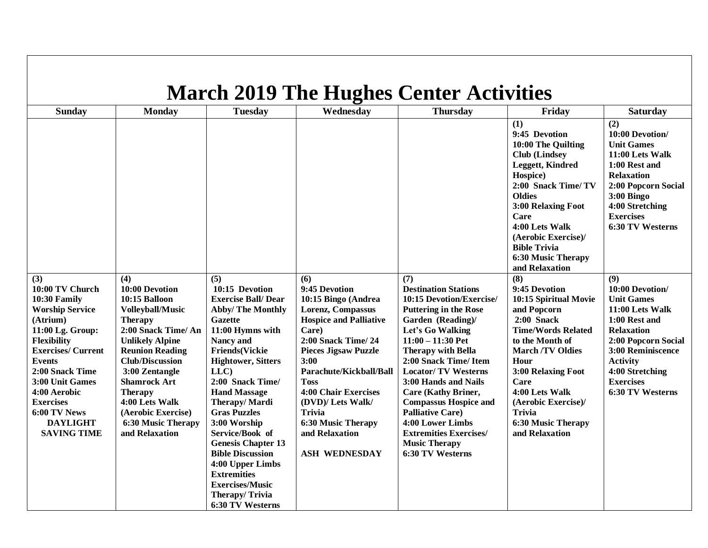| <b>March 2019 The Hughes Center Activities</b>                                                                                                                                                                                                                                                         |                                                                                                                                                                                                                                                                                                                                            |                                                                                                                                                                                                                                                                                                                                                                                                                                                                                                     |                                                                                                                                                                                                                                                                                                                                                        |                                                                                                                                                                                                                                                                                                                                                                                                                                                                      |                                                                                                                                                                                                                                                                                                       |                                                                                                                                                                                                                                |  |
|--------------------------------------------------------------------------------------------------------------------------------------------------------------------------------------------------------------------------------------------------------------------------------------------------------|--------------------------------------------------------------------------------------------------------------------------------------------------------------------------------------------------------------------------------------------------------------------------------------------------------------------------------------------|-----------------------------------------------------------------------------------------------------------------------------------------------------------------------------------------------------------------------------------------------------------------------------------------------------------------------------------------------------------------------------------------------------------------------------------------------------------------------------------------------------|--------------------------------------------------------------------------------------------------------------------------------------------------------------------------------------------------------------------------------------------------------------------------------------------------------------------------------------------------------|----------------------------------------------------------------------------------------------------------------------------------------------------------------------------------------------------------------------------------------------------------------------------------------------------------------------------------------------------------------------------------------------------------------------------------------------------------------------|-------------------------------------------------------------------------------------------------------------------------------------------------------------------------------------------------------------------------------------------------------------------------------------------------------|--------------------------------------------------------------------------------------------------------------------------------------------------------------------------------------------------------------------------------|--|
| Sunday                                                                                                                                                                                                                                                                                                 | <b>Monday</b>                                                                                                                                                                                                                                                                                                                              | <b>Tuesday</b>                                                                                                                                                                                                                                                                                                                                                                                                                                                                                      | Wednesday                                                                                                                                                                                                                                                                                                                                              | <b>Thursday</b>                                                                                                                                                                                                                                                                                                                                                                                                                                                      | Friday                                                                                                                                                                                                                                                                                                | Saturday                                                                                                                                                                                                                       |  |
|                                                                                                                                                                                                                                                                                                        |                                                                                                                                                                                                                                                                                                                                            |                                                                                                                                                                                                                                                                                                                                                                                                                                                                                                     |                                                                                                                                                                                                                                                                                                                                                        |                                                                                                                                                                                                                                                                                                                                                                                                                                                                      | (1)<br>9:45 Devotion<br>10:00 The Quilting<br><b>Club</b> (Lindsey<br>Leggett, Kindred<br>Hospice)<br>2:00 Snack Time/TV<br><b>Oldies</b><br>3:00 Relaxing Foot<br>Care<br>4:00 Lets Walk<br>(Aerobic Exercise)/<br><b>Bible Trivia</b><br><b>6:30 Music Therapy</b><br>and Relaxation                | (2)<br>10:00 Devotion/<br><b>Unit Games</b><br>11:00 Lets Walk<br>1:00 Rest and<br><b>Relaxation</b><br>2:00 Popcorn Social<br>3:00 Bingo<br>4:00 Stretching<br><b>Exercises</b><br>6:30 TV Westerns                           |  |
| (3)<br>10:00 TV Church<br>10:30 Family<br><b>Worship Service</b><br>(Atrium)<br>11:00 Lg. Group:<br><b>Flexibility</b><br><b>Exercises/Current</b><br><b>Events</b><br>2:00 Snack Time<br>3:00 Unit Games<br>4:00 Aerobic<br><b>Exercises</b><br>6:00 TV News<br><b>DAYLIGHT</b><br><b>SAVING TIME</b> | (4)<br>10:00 Devotion<br>10:15 Balloon<br><b>Volleyball/Music</b><br><b>Therapy</b><br>2:00 Snack Time/ An<br><b>Unlikely Alpine</b><br><b>Reunion Reading</b><br><b>Club/Discussion</b><br>3:00 Zentangle<br><b>Shamrock Art</b><br><b>Therapy</b><br>4:00 Lets Walk<br>(Aerobic Exercise)<br><b>6:30 Music Therapy</b><br>and Relaxation | (5)<br>10:15 Devotion<br><b>Exercise Ball/Dear</b><br><b>Abby/The Monthly</b><br><b>Gazette</b><br>11:00 Hymns with<br>Nancy and<br><b>Friends(Vickie</b><br><b>Hightower, Sitters</b><br>LLC<br>2:00 Snack Time/<br><b>Hand Massage</b><br><b>Therapy/Mardi</b><br><b>Gras Puzzles</b><br>3:00 Worship<br>Service/Book of<br><b>Genesis Chapter 13</b><br><b>Bible Discussion</b><br>4:00 Upper Limbs<br><b>Extremities</b><br><b>Exercises/Music</b><br><b>Therapy/Trivia</b><br>6:30 TV Westerns | (6)<br>9:45 Devotion<br>10:15 Bingo (Andrea<br>Lorenz, Compassus<br><b>Hospice and Palliative</b><br>Care)<br><b>2:00 Snack Time/24</b><br><b>Pieces Jigsaw Puzzle</b><br>3:00<br>Parachute/Kickball/Ball<br>Toss<br>4:00 Chair Exercises<br>(DVD)/ Lets Walk/<br><b>Trivia</b><br><b>6:30 Music Therapy</b><br>and Relaxation<br><b>ASH WEDNESDAY</b> | (7)<br><b>Destination Stations</b><br>10:15 Devotion/Exercise/<br><b>Puttering in the Rose</b><br>Garden (Reading)/<br>Let's Go Walking<br>$11:00 - 11:30$ Pet<br><b>Therapy with Bella</b><br>2:00 Snack Time/ Item<br><b>Locator/TV Westerns</b><br>3:00 Hands and Nails<br><b>Care (Kathy Briner,</b><br><b>Compassus Hospice and</b><br><b>Palliative Care)</b><br>4:00 Lower Limbs<br><b>Extremities Exercises/</b><br><b>Music Therapy</b><br>6:30 TV Westerns | (8)<br>9:45 Devotion<br>10:15 Spiritual Movie<br>and Popcorn<br>$2:00$ Snack<br><b>Time/Words Related</b><br>to the Month of<br><b>March/TV Oldies</b><br>Hour<br>3:00 Relaxing Foot<br>Care<br>4:00 Lets Walk<br>(Aerobic Exercise)/<br><b>Trivia</b><br><b>6:30 Music Therapy</b><br>and Relaxation | (9)<br>10:00 Devotion/<br><b>Unit Games</b><br>11:00 Lets Walk<br>1:00 Rest and<br><b>Relaxation</b><br>2:00 Popcorn Social<br>3:00 Reminiscence<br><b>Activity</b><br>4:00 Stretching<br><b>Exercises</b><br>6:30 TV Westerns |  |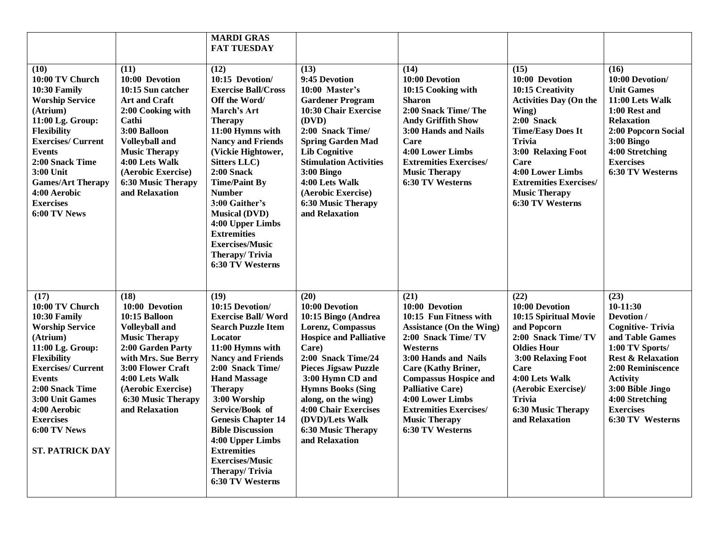|                                                                                                                                                                                                                                                                                          |                                                                                                                                                                                                                                                           | <b>MARDI GRAS</b><br><b>FAT TUESDAY</b>                                                                                                                                                                                                                                                                                                                                                                                   |                                                                                                                                                                                                                                                                                                                                    |                                                                                                                                                                                                                                                                                                                                          |                                                                                                                                                                                                                                                                                  |                                                                                                                                                                                                                                                          |
|------------------------------------------------------------------------------------------------------------------------------------------------------------------------------------------------------------------------------------------------------------------------------------------|-----------------------------------------------------------------------------------------------------------------------------------------------------------------------------------------------------------------------------------------------------------|---------------------------------------------------------------------------------------------------------------------------------------------------------------------------------------------------------------------------------------------------------------------------------------------------------------------------------------------------------------------------------------------------------------------------|------------------------------------------------------------------------------------------------------------------------------------------------------------------------------------------------------------------------------------------------------------------------------------------------------------------------------------|------------------------------------------------------------------------------------------------------------------------------------------------------------------------------------------------------------------------------------------------------------------------------------------------------------------------------------------|----------------------------------------------------------------------------------------------------------------------------------------------------------------------------------------------------------------------------------------------------------------------------------|----------------------------------------------------------------------------------------------------------------------------------------------------------------------------------------------------------------------------------------------------------|
| (10)<br>10:00 TV Church<br>10:30 Family<br><b>Worship Service</b><br>(Atrium)<br>11:00 Lg. Group:<br><b>Flexibility</b><br><b>Exercises/Current</b><br><b>Events</b><br>2:00 Snack Time<br>3:00 Unit<br><b>Games/Art Therapy</b><br>4:00 Aerobic<br><b>Exercises</b><br>6:00 TV News     | (11)<br>10:00 Devotion<br>10:15 Sun catcher<br><b>Art and Craft</b><br>2:00 Cooking with<br>Cathi<br>3:00 Balloon<br><b>Volleyball and</b><br><b>Music Therapy</b><br>4:00 Lets Walk<br>(Aerobic Exercise)<br><b>6:30 Music Therapy</b><br>and Relaxation | (12)<br>10:15 Devotion/<br><b>Exercise Ball/Cross</b><br>Off the Word/<br>March's Art<br><b>Therapy</b><br>11:00 Hymns with<br><b>Nancy and Friends</b><br>(Vickie Hightower,<br><b>Sitters LLC</b> )<br>$2:00$ Snack<br><b>Time/Paint By</b><br><b>Number</b><br>3:00 Gaither's<br><b>Musical (DVD)</b><br>4:00 Upper Limbs<br><b>Extremities</b><br><b>Exercises/Music</b><br><b>Therapy/Trivia</b><br>6:30 TV Westerns | (13)<br>9:45 Devotion<br>10:00 Master's<br><b>Gardener Program</b><br>10:30 Chair Exercise<br>(DVD)<br>2:00 Snack Time/<br><b>Spring Garden Mad</b><br><b>Lib Cognitive</b><br><b>Stimulation Activities</b><br>$3:00$ Bingo<br>4:00 Lets Walk<br>(Aerobic Exercise)<br><b>6:30 Music Therapy</b><br>and Relaxation                | (14)<br>10:00 Devotion<br>10:15 Cooking with<br><b>Sharon</b><br>2:00 Snack Time/ The<br><b>Andy Griffith Show</b><br>3:00 Hands and Nails<br>Care<br>4:00 Lower Limbs<br><b>Extremities Exercises/</b><br><b>Music Therapy</b><br>6:30 TV Westerns                                                                                      | (15)<br>10:00 Devotion<br>10:15 Creativity<br><b>Activities Day (On the</b><br>Wing)<br>$2:00$ Snack<br><b>Time/Easy Does It</b><br><b>Trivia</b><br>3:00 Relaxing Foot<br>Care<br>4:00 Lower Limbs<br><b>Extremities Exercises/</b><br><b>Music Therapy</b><br>6:30 TV Westerns | (16)<br>10:00 Devotion/<br><b>Unit Games</b><br>11:00 Lets Walk<br>1:00 Rest and<br><b>Relaxation</b><br>2:00 Popcorn Social<br>3:00 Bingo<br>4:00 Stretching<br><b>Exercises</b><br>6:30 TV Westerns                                                    |
| (17)<br>10:00 TV Church<br>10:30 Family<br><b>Worship Service</b><br>(Atrium)<br>11:00 Lg. Group:<br><b>Flexibility</b><br><b>Exercises/Current</b><br><b>Events</b><br>2:00 Snack Time<br>3:00 Unit Games<br>4:00 Aerobic<br><b>Exercises</b><br>6:00 TV News<br><b>ST. PATRICK DAY</b> | (18)<br>10:00 Devotion<br>10:15 Balloon<br><b>Volleyball and</b><br><b>Music Therapy</b><br>2:00 Garden Party<br>with Mrs. Sue Berry<br>3:00 Flower Craft<br>4:00 Lets Walk<br>(Aerobic Exercise)<br><b>6:30 Music Therapy</b><br>and Relaxation          | (19)<br>10:15 Devotion/<br><b>Exercise Ball/Word</b><br><b>Search Puzzle Item</b><br>Locator<br>11:00 Hymns with<br><b>Nancy and Friends</b><br>2:00 Snack Time/<br><b>Hand Massage</b><br><b>Therapy</b><br>3:00 Worship<br>Service/Book of<br><b>Genesis Chapter 14</b><br><b>Bible Discussion</b><br>4:00 Upper Limbs<br><b>Extremities</b><br><b>Exercises/Music</b><br>Therapy/Trivia<br>6:30 TV Westerns            | (20)<br>10:00 Devotion<br>10:15 Bingo (Andrea<br>Lorenz, Compassus<br><b>Hospice and Palliative</b><br>Care)<br>2:00 Snack Time/24<br><b>Pieces Jigsaw Puzzle</b><br>3:00 Hymn CD and<br><b>Hymns Books (Sing</b><br>along, on the wing)<br>4:00 Chair Exercises<br>(DVD)/Lets Walk<br><b>6:30 Music Therapy</b><br>and Relaxation | (21)<br>10:00 Devotion<br>10:15 Fun Fitness with<br><b>Assistance (On the Wing)</b><br>2:00 Snack Time/ TV<br>Westerns<br>3:00 Hands and Nails<br><b>Care (Kathy Briner,</b><br><b>Compassus Hospice and</b><br><b>Palliative Care)</b><br>4:00 Lower Limbs<br><b>Extremities Exercises/</b><br><b>Music Therapy</b><br>6:30 TV Westerns | (22)<br>10:00 Devotion<br>10:15 Spiritual Movie<br>and Popcorn<br>2:00 Snack Time/ TV<br><b>Oldies Hour</b><br>3:00 Relaxing Foot<br><b>Care</b><br>4:00 Lets Walk<br>(Aerobic Exercise)/<br><b>Trivia</b><br><b>6:30 Music Therapy</b><br>and Relaxation                        | (23)<br>$10-11:30$<br>Devotion /<br><b>Cognitive-Trivia</b><br>and Table Games<br>1:00 TV Sports/<br><b>Rest &amp; Relaxation</b><br>2:00 Reminiscence<br><b>Activity</b><br>3:00 Bible Jingo<br>4:00 Stretching<br><b>Exercises</b><br>6:30 TV Westerns |